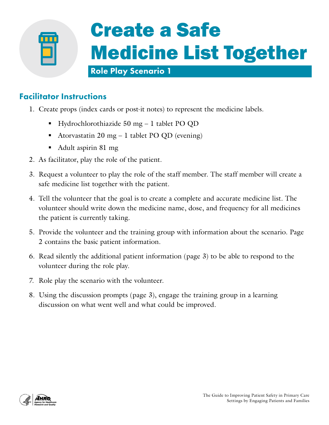

#### Facilitator Instructions

- 1. Create props (index cards or post-it notes) to represent the medicine labels.
	- Hydrochlorothiazide 50 mg 1 tablet PO QD
	- Atorvastatin 20 mg 1 tablet PO QD (evening)
	- Adult aspirin 81 mg
- 2. As facilitator, play the role of the patient.
- 3. Request a volunteer to play the role of the staff member. The staff member will create a safe medicine list together with the patient.
- 4. Tell the volunteer that the goal is to create a complete and accurate medicine list. The volunteer should write down the medicine name, dose, and frequency for all medicines the patient is currently taking.
- 5. Provide the volunteer and the training group with information about the scenario. Page 2 contains the basic patient information.
- 6. Read silently the additional patient information (page 3) to be able to respond to the volunteer during the role play.
- 7. Role play the scenario with the volunteer.
- 8. Using the discussion prompts (page 3), engage the training group in a learning discussion on what went well and what could be improved.

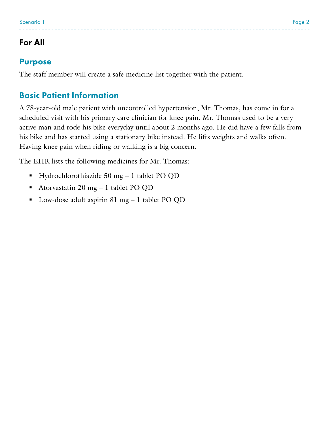# For All

#### Purpose

The staff member will create a safe medicine list together with the patient.

## Basic Patient Information

A 78-year-old male patient with uncontrolled hypertension, Mr. Thomas, has come in for a scheduled visit with his primary care clinician for knee pain. Mr. Thomas used to be a very active man and rode his bike everyday until about 2 months ago. He did have a few falls from his bike and has started using a stationary bike instead. He lifts weights and walks often. Having knee pain when riding or walking is a big concern.

The EHR lists the following medicines for Mr. Thomas:

- Hydrochlorothiazide  $50 \text{ mg} 1$  tablet PO QD
- Atorvastatin 20 mg 1 tablet PO QD
- Low-dose adult aspirin 81 mg 1 tablet PO QD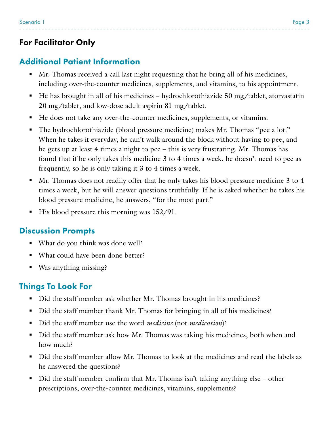# For Facilitator Only

# Additional Patient Information

- Mr. Thomas received a call last night requesting that he bring all of his medicines, including over-the-counter medicines, supplements, and vitamins, to his appointment.
- $\blacksquare$  He has brought in all of his medicines hydrochlorothiazide 50 mg/tablet, atorvastatin 20 mg/tablet, and low-dose adult aspirin 81 mg/tablet.
- He does not take any over-the-counter medicines, supplements, or vitamins.
- The hydrochlorothiazide (blood pressure medicine) makes Mr. Thomas "pee a lot." When he takes it everyday, he can't walk around the block without having to pee, and he gets up at least 4 times a night to pee – this is very frustrating. Mr. Thomas has found that if he only takes this medicine 3 to 4 times a week, he doesn't need to pee as frequently, so he is only taking it 3 to 4 times a week.
- Mr. Thomas does not readily offer that he only takes his blood pressure medicine 3 to 4 times a week, but he will answer questions truthfully. If he is asked whether he takes his blood pressure medicine, he answers, "for the most part."
- $\blacksquare$  His blood pressure this morning was 152/91.

## Discussion Prompts

- What do you think was done well?
- What could have been done better?
- Was anything missing?

# Things To Look For

- Did the staff member ask whether Mr. Thomas brought in his medicines?
- Did the staff member thank Mr. Thomas for bringing in all of his medicines?
- Did the staff member use the word *medicine* (not *medication*)?
- Did the staff member ask how Mr. Thomas was taking his medicines, both when and how much?
- Did the staff member allow Mr. Thomas to look at the medicines and read the labels as he answered the questions?
- Did the staff member confirm that Mr. Thomas isn't taking anything else other prescriptions, over-the-counter medicines, vitamins, supplements?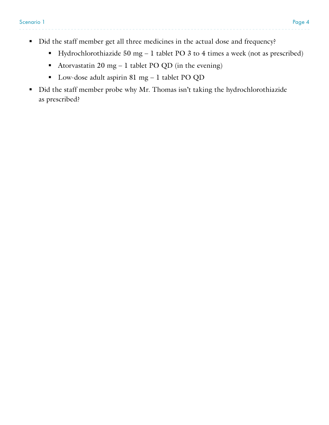- Did the staff member get all three medicines in the actual dose and frequency?
	- Hydrochlorothiazide 50 mg 1 tablet PO 3 to 4 times a week (not as prescribed)
	- Atorvastatin 20 mg 1 tablet PO QD (in the evening)
	- Low-dose adult aspirin 81 mg 1 tablet PO QD
- Did the staff member probe why Mr. Thomas isn't taking the hydrochlorothiazide as prescribed?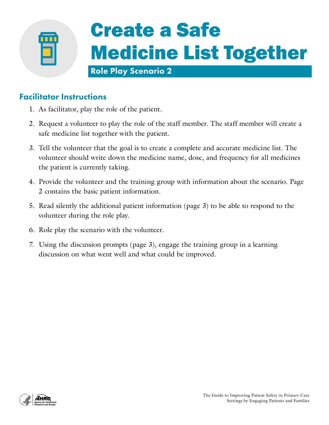

#### Facilitator Instructions

- 1. As facilitator, play the role of the patient.
- 2. Request a volunteer to play the role of the staff member. The staff member will create a safe medicine list together with the patient.
- 3. Tell the volunteer that the goal is to create a complete and accurate medicine list. The volunteer should write down the medicine name, dose, and frequency for all medicines the patient is currently taking.
- 4. Provide the volunteer and the training group with information about the scenario. Page 2 contains the basic patient information.
- 5. Read silently the additional patient information (page 3) to be able to respond to the volunteer during the role play.
- 6. Role play the scenario with the volunteer.
- 7. Using the discussion prompts (page 3), engage the training group in a learning discussion on what went well and what could be improved.

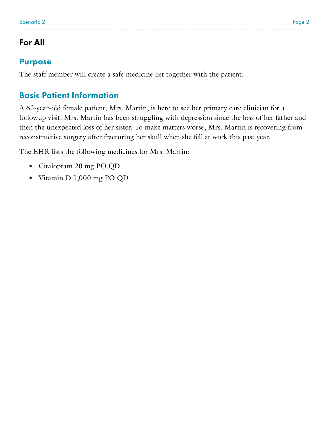# For All

#### Purpose

The staff member will create a safe medicine list together with the patient.

## Basic Patient Information

A 63-year-old female patient, Mrs. Martin, is here to see her primary care clinician for a followup visit. Mrs. Martin has been struggling with depression since the loss of her father and then the unexpected loss of her sister. To make matters worse, Mrs. Martin is recovering from reconstructive surgery after fracturing her skull when she fell at work this past year.

The EHR lists the following medicines for Mrs. Martin:

- Citalopram 20 mg PO QD
- Vitamin D 1,000 mg PO QD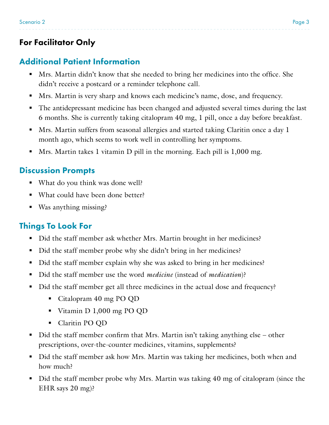# For Facilitator Only

# Additional Patient Information

- Mrs. Martin didn't know that she needed to bring her medicines into the office. She didn't receive a postcard or a reminder telephone call.
- Mrs. Martin is very sharp and knows each medicine's name, dose, and frequency.
- The antidepressant medicine has been changed and adjusted several times during the last 6 months. She is currently taking citalopram 40 mg, 1 pill, once a day before breakfast.
- Mrs. Martin suffers from seasonal allergies and started taking Claritin once a day 1 month ago, which seems to work well in controlling her symptoms.
- Mrs. Martin takes 1 vitamin D pill in the morning. Each pill is 1,000 mg.

#### Discussion Prompts

- What do you think was done well?
- What could have been done better?
- Was anything missing?

## Things To Look For

- Did the staff member ask whether Mrs. Martin brought in her medicines?
- Did the staff member probe why she didn't bring in her medicines?
- Did the staff member explain why she was asked to bring in her medicines?
- Did the staff member use the word *medicine* (instead of *medication*)?
- Did the staff member get all three medicines in the actual dose and frequency?
	- Citalopram 40 mg PO QD
	- Vitamin D 1,000 mg PO QD
	- Claritin PO QD
- Did the staff member confirm that Mrs. Martin isn't taking anything else other prescriptions, over-the-counter medicines, vitamins, supplements?
- Did the staff member ask how Mrs. Martin was taking her medicines, both when and how much?
- Did the staff member probe why Mrs. Martin was taking 40 mg of citalopram (since the EHR says 20 mg)?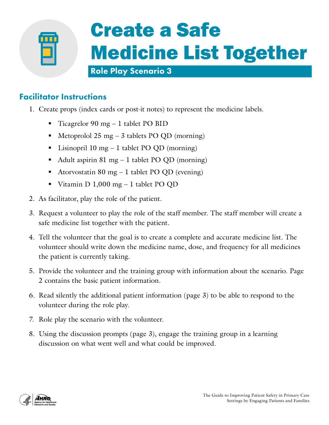

# Create a Safe Medicine List Together

#### Role Play Scenario 3

## Facilitator Instructions

- 1. Create props (index cards or post-it notes) to represent the medicine labels.
	- $\blacksquare$  Ticagrelor 90 mg 1 tablet PO BID
	- Metoprolol  $25 \text{ mg} 3$  tablets PO OD (morning)
	- Elisinopril 10 mg 1 tablet PO QD (morning)
	- Adult aspirin 81 mg 1 tablet PO QD (morning)
	- Atorvostatin 80 mg 1 tablet PO QD (evening)
	- Vitamin D  $1,000$  mg 1 tablet PO QD
- 2. As facilitator, play the role of the patient.
- 3. Request a volunteer to play the role of the staff member. The staff member will create a safe medicine list together with the patient.
- 4. Tell the volunteer that the goal is to create a complete and accurate medicine list. The volunteer should write down the medicine name, dose, and frequency for all medicines the patient is currently taking.
- 5. Provide the volunteer and the training group with information about the scenario. Page 2 contains the basic patient information.
- 6. Read silently the additional patient information (page 3) to be able to respond to the volunteer during the role play.
- 7. Role play the scenario with the volunteer.
- 8. Using the discussion prompts (page 3), engage the training group in a learning discussion on what went well and what could be improved.

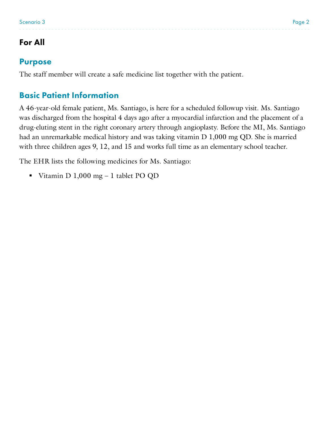# For All

#### Purpose

The staff member will create a safe medicine list together with the patient.

## Basic Patient Information

A 46-year-old female patient, Ms. Santiago, is here for a scheduled followup visit. Ms. Santiago was discharged from the hospital 4 days ago after a myocardial infarction and the placement of a drug-eluting stent in the right coronary artery through angioplasty. Before the MI, Ms. Santiago had an unremarkable medical history and was taking vitamin D 1,000 mg QD. She is married with three children ages 9, 12, and 15 and works full time as an elementary school teacher.

The EHR lists the following medicines for Ms. Santiago:

Vitamin D 1,000 mg - 1 tablet PO QD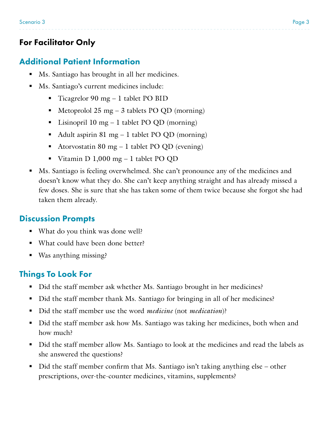## For Facilitator Only

## Additional Patient Information

- Ms. Santiago has brought in all her medicines.
- Ms. Santiago's current medicines include:
	- $\blacksquare$  Ticagrelor 90 mg 1 tablet PO BID
	- $\blacksquare$  Metoprolol 25 mg 3 tablets PO QD (morning)
	- Lisinopril 10 mg 1 tablet PO QD (morning)
	- Adult aspirin 81 mg 1 tablet PO QD (morning)
	- Atorvostatin 80 mg 1 tablet PO QD (evening)
	- Vitamin D  $1,000$  mg 1 tablet PO QD
- Ms. Santiago is feeling overwhelmed. She can't pronounce any of the medicines and doesn't know what they do. She can't keep anything straight and has already missed a few doses. She is sure that she has taken some of them twice because she forgot she had taken them already.

## Discussion Prompts

- What do you think was done well?
- What could have been done better?
- Was anything missing?

# Things To Look For

- Did the staff member ask whether Ms. Santiago brought in her medicines?
- Did the staff member thank Ms. Santiago for bringing in all of her medicines?
- Did the staff member use the word *medicine* (not *medication*)?
- Did the staff member ask how Ms. Santiago was taking her medicines, both when and how much?
- Did the staff member allow Ms. Santiago to look at the medicines and read the labels as she answered the questions?
- Did the staff member confirm that Ms. Santiago isn't taking anything else other prescriptions, over-the-counter medicines, vitamins, supplements?